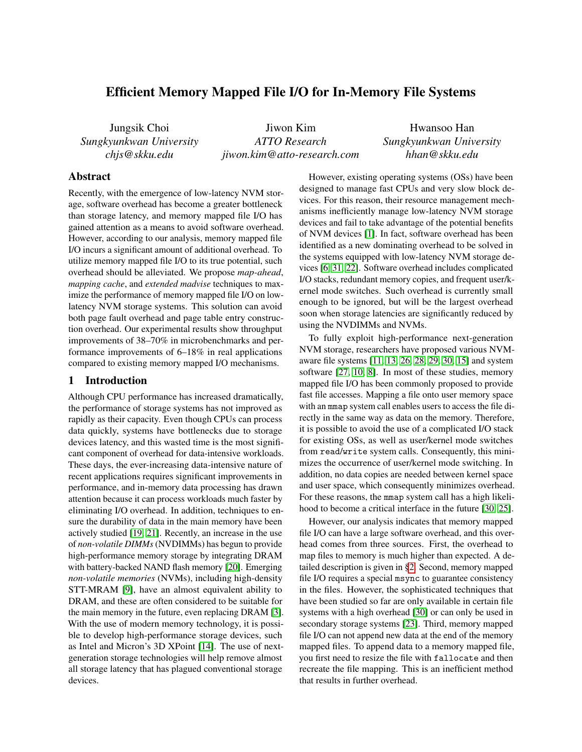# Efficient Memory Mapped File I/O for In-Memory File Systems

Jungsik Choi *Sungkyunkwan University chjs@skku.edu*

Jiwon Kim *ATTO Research jiwon.kim@atto-research.com*

Hwansoo Han *Sungkyunkwan University hhan@skku.edu*

# Abstract

Recently, with the emergence of low-latency NVM storage, software overhead has become a greater bottleneck than storage latency, and memory mapped file I/O has gained attention as a means to avoid software overhead. However, according to our analysis, memory mapped file I/O incurs a significant amount of additional overhead. To utilize memory mapped file I/O to its true potential, such overhead should be alleviated. We propose *map-ahead*, *mapping cache*, and *extended madvise* techniques to maximize the performance of memory mapped file I/O on lowlatency NVM storage systems. This solution can avoid both page fault overhead and page table entry construction overhead. Our experimental results show throughput improvements of 38–70% in microbenchmarks and performance improvements of 6–18% in real applications compared to existing memory mapped I/O mechanisms.

### 1 Introduction

Although CPU performance has increased dramatically, the performance of storage systems has not improved as rapidly as their capacity. Even though CPUs can process data quickly, systems have bottlenecks due to storage devices latency, and this wasted time is the most significant component of overhead for data-intensive workloads. These days, the ever-increasing data-intensive nature of recent applications requires significant improvements in performance, and in-memory data processing has drawn attention because it can process workloads much faster by eliminating I/O overhead. In addition, techniques to ensure the durability of data in the main memory have been actively studied [\[19,](#page-5-0) [21\]](#page-5-1). Recently, an increase in the use of *non-volatile DIMMs*(NVDIMMs) has begun to provide high-performance memory storage by integrating DRAM with battery-backed NAND flash memory [\[20\]](#page-5-2). Emerging *non-volatile memories* (NVMs), including high-density STT-MRAM [\[9\]](#page-5-3), have an almost equivalent ability to DRAM, and these are often considered to be suitable for the main memory in the future, even replacing DRAM [\[3\]](#page-5-4). With the use of modern memory technology, it is possible to develop high-performance storage devices, such as Intel and Micron's 3D XPoint [\[14\]](#page-5-5). The use of nextgeneration storage technologies will help remove almost all storage latency that has plagued conventional storage devices.

However, existing operating systems (OSs) have been designed to manage fast CPUs and very slow block devices. For this reason, their resource management mechanisms inefficiently manage low-latency NVM storage devices and fail to take advantage of the potential benefits of NVM devices [\[1\]](#page-5-6). In fact, software overhead has been identified as a new dominating overhead to be solved in the systems equipped with low-latency NVM storage devices [\[6,](#page-5-7) [31,](#page-5-8) [22\]](#page-5-9). Software overhead includes complicated I/O stacks, redundant memory copies, and frequent user/kernel mode switches. Such overhead is currently small enough to be ignored, but will be the largest overhead soon when storage latencies are significantly reduced by using the NVDIMMs and NVMs.

To fully exploit high-performance next-generation NVM storage, researchers have proposed various NVMaware file systems [\[11,](#page-5-10) [13,](#page-5-11) [26,](#page-5-12) [28,](#page-5-13) [29,](#page-5-14) [30,](#page-5-15) [15\]](#page-5-16) and system software [\[27,](#page-5-17) [10,](#page-5-18) [8\]](#page-5-19). In most of these studies, memory mapped file I/O has been commonly proposed to provide fast file accesses. Mapping a file onto user memory space with an mmap system call enables users to access the file directly in the same way as data on the memory. Therefore, it is possible to avoid the use of a complicated I/O stack for existing OSs, as well as user/kernel mode switches from read/write system calls. Consequently, this minimizes the occurrence of user/kernel mode switching. In addition, no data copies are needed between kernel space and user space, which consequently minimizes overhead. For these reasons, the mmap system call has a high likelihood to become a critical interface in the future [\[30,](#page-5-15) [25\]](#page-5-20).

However, our analysis indicates that memory mapped file I/O can have a large software overhead, and this overhead comes from three sources. First, the overhead to map files to memory is much higher than expected. A detailed description is given in [§2.](#page-1-0) Second, memory mapped file I/O requires a special msync to guarantee consistency in the files. However, the sophisticated techniques that have been studied so far are only available in certain file systems with a high overhead [\[30\]](#page-5-15) or can only be used in secondary storage systems [\[23\]](#page-5-21). Third, memory mapped file I/O can not append new data at the end of the memory mapped files. To append data to a memory mapped file, you first need to resize the file with fallocate and then recreate the file mapping. This is an inefficient method that results in further overhead.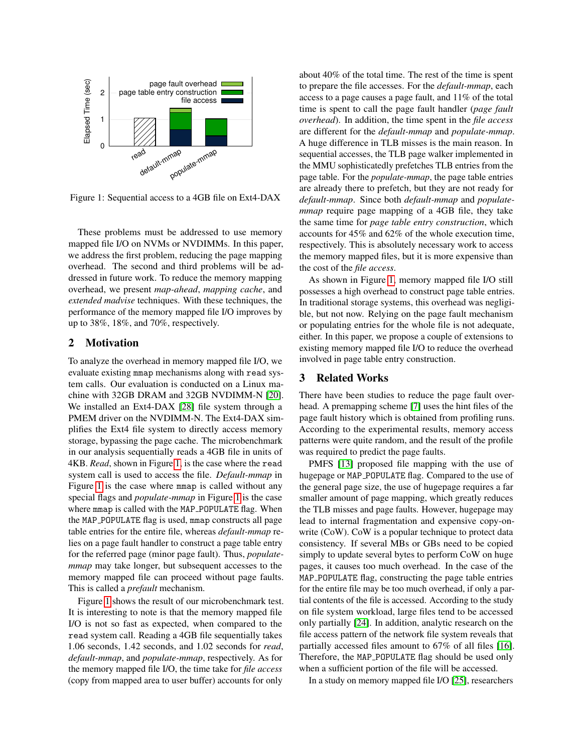<span id="page-1-1"></span>

Figure 1: Sequential access to a 4GB file on Ext4-DAX

These problems must be addressed to use memory mapped file I/O on NVMs or NVDIMMs. In this paper, we address the first problem, reducing the page mapping overhead. The second and third problems will be addressed in future work. To reduce the memory mapping overhead, we present *map-ahead*, *mapping cache*, and *extended madvise* techniques. With these techniques, the performance of the memory mapped file I/O improves by up to 38%, 18%, and 70%, respectively.

#### <span id="page-1-0"></span>2 Motivation

To analyze the overhead in memory mapped file I/O, we evaluate existing mmap mechanisms along with read system calls. Our evaluation is conducted on a Linux machine with 32GB DRAM and 32GB NVDIMM-N [\[20\]](#page-5-2). We installed an Ext4-DAX [\[28\]](#page-5-13) file system through a PMEM driver on the NVDIMM-N. The Ext4-DAX simplifies the Ext4 file system to directly access memory storage, bypassing the page cache. The microbenchmark in our analysis sequentially reads a 4GB file in units of 4KB. *Read*, shown in Figure [1,](#page-1-1) is the case where the read system call is used to access the file. *Default-mmap* in Figure [1](#page-1-1) is the case where mmap is called without any special flags and *populate-mmap* in Figure [1](#page-1-1) is the case where mmap is called with the MAP\_POPULATE flag. When the MAP POPULATE flag is used, mmap constructs all page table entries for the entire file, whereas *default-mmap* relies on a page fault handler to construct a page table entry for the referred page (minor page fault). Thus, *populatemmap* may take longer, but subsequent accesses to the memory mapped file can proceed without page faults. This is called a *prefault* mechanism.

Figure [1](#page-1-1) shows the result of our microbenchmark test. It is interesting to note is that the memory mapped file I/O is not so fast as expected, when compared to the read system call. Reading a 4GB file sequentially takes 1.06 seconds, 1.42 seconds, and 1.02 seconds for *read*, *default-mmap*, and *populate-mmap*, respectively. As for the memory mapped file I/O, the time take for *file access* (copy from mapped area to user buffer) accounts for only about 40% of the total time. The rest of the time is spent to prepare the file accesses. For the *default-mmap*, each access to a page causes a page fault, and 11% of the total time is spent to call the page fault handler (*page fault overhead*). In addition, the time spent in the *file access* are different for the *default-mmap* and *populate-mmap*. A huge difference in TLB misses is the main reason. In sequential accesses, the TLB page walker implemented in the MMU sophisticatedly prefetches TLB entries from the page table. For the *populate-mmap*, the page table entries are already there to prefetch, but they are not ready for *default-mmap*. Since both *default-mmap* and *populatemmap* require page mapping of a 4GB file, they take the same time for *page table entry construction*, which accounts for 45% and 62% of the whole execution time, respectively. This is absolutely necessary work to access the memory mapped files, but it is more expensive than the cost of the *file access*.

As shown in Figure [1,](#page-1-1) memory mapped file I/O still possesses a high overhead to construct page table entries. In traditional storage systems, this overhead was negligible, but not now. Relying on the page fault mechanism or populating entries for the whole file is not adequate, either. In this paper, we propose a couple of extensions to existing memory mapped file I/O to reduce the overhead involved in page table entry construction.

### 3 Related Works

There have been studies to reduce the page fault overhead. A premapping scheme [\[7\]](#page-5-22) uses the hint files of the page fault history which is obtained from profiling runs. According to the experimental results, memory access patterns were quite random, and the result of the profile was required to predict the page faults.

PMFS [\[13\]](#page-5-11) proposed file mapping with the use of hugepage or MAP POPULATE flag. Compared to the use of the general page size, the use of hugepage requires a far smaller amount of page mapping, which greatly reduces the TLB misses and page faults. However, hugepage may lead to internal fragmentation and expensive copy-onwrite (CoW). CoW is a popular technique to protect data consistency. If several MBs or GBs need to be copied simply to update several bytes to perform CoW on huge pages, it causes too much overhead. In the case of the MAP POPULATE flag, constructing the page table entries for the entire file may be too much overhead, if only a partial contents of the file is accessed. According to the study on file system workload, large files tend to be accessed only partially [\[24\]](#page-5-23). In addition, analytic research on the file access pattern of the network file system reveals that partially accessed files amount to 67% of all files [\[16\]](#page-5-24). Therefore, the MAP POPULATE flag should be used only when a sufficient portion of the file will be accessed.

In a study on memory mapped file I/O [\[25\]](#page-5-20), researchers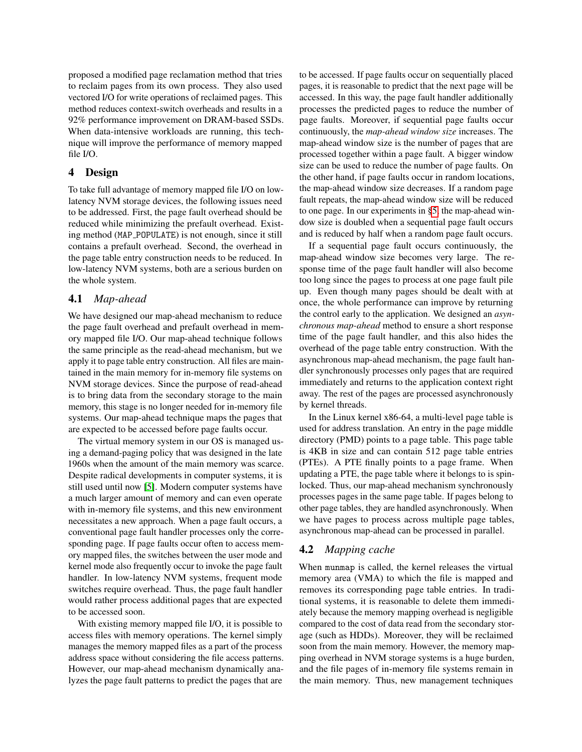proposed a modified page reclamation method that tries to reclaim pages from its own process. They also used vectored I/O for write operations of reclaimed pages. This method reduces context-switch overheads and results in a 92% performance improvement on DRAM-based SSDs. When data-intensive workloads are running, this technique will improve the performance of memory mapped file I/O.

### 4 Design

To take full advantage of memory mapped file I/O on lowlatency NVM storage devices, the following issues need to be addressed. First, the page fault overhead should be reduced while minimizing the prefault overhead. Existing method (MAP POPULATE) is not enough, since it still contains a prefault overhead. Second, the overhead in the page table entry construction needs to be reduced. In low-latency NVM systems, both are a serious burden on the whole system.

## 4.1 *Map-ahead*

We have designed our map-ahead mechanism to reduce the page fault overhead and prefault overhead in memory mapped file I/O. Our map-ahead technique follows the same principle as the read-ahead mechanism, but we apply it to page table entry construction. All files are maintained in the main memory for in-memory file systems on NVM storage devices. Since the purpose of read-ahead is to bring data from the secondary storage to the main memory, this stage is no longer needed for in-memory file systems. Our map-ahead technique maps the pages that are expected to be accessed before page faults occur.

The virtual memory system in our OS is managed using a demand-paging policy that was designed in the late 1960s when the amount of the main memory was scarce. Despite radical developments in computer systems, it is still used until now [\[5\]](#page-5-25). Modern computer systems have a much larger amount of memory and can even operate with in-memory file systems, and this new environment necessitates a new approach. When a page fault occurs, a conventional page fault handler processes only the corresponding page. If page faults occur often to access memory mapped files, the switches between the user mode and kernel mode also frequently occur to invoke the page fault handler. In low-latency NVM systems, frequent mode switches require overhead. Thus, the page fault handler would rather process additional pages that are expected to be accessed soon.

With existing memory mapped file I/O, it is possible to access files with memory operations. The kernel simply manages the memory mapped files as a part of the process address space without considering the file access patterns. However, our map-ahead mechanism dynamically analyzes the page fault patterns to predict the pages that are to be accessed. If page faults occur on sequentially placed pages, it is reasonable to predict that the next page will be accessed. In this way, the page fault handler additionally processes the predicted pages to reduce the number of page faults. Moreover, if sequential page faults occur continuously, the *map-ahead window size* increases. The map-ahead window size is the number of pages that are processed together within a page fault. A bigger window size can be used to reduce the number of page faults. On the other hand, if page faults occur in random locations, the map-ahead window size decreases. If a random page fault repeats, the map-ahead window size will be reduced to one page. In our experiments in [§5,](#page-3-0) the map-ahead window size is doubled when a sequential page fault occurs and is reduced by half when a random page fault occurs.

If a sequential page fault occurs continuously, the map-ahead window size becomes very large. The response time of the page fault handler will also become too long since the pages to process at one page fault pile up. Even though many pages should be dealt with at once, the whole performance can improve by returning the control early to the application. We designed an *asynchronous map-ahead* method to ensure a short response time of the page fault handler, and this also hides the overhead of the page table entry construction. With the asynchronous map-ahead mechanism, the page fault handler synchronously processes only pages that are required immediately and returns to the application context right away. The rest of the pages are processed asynchronously by kernel threads.

In the Linux kernel x86-64, a multi-level page table is used for address translation. An entry in the page middle directory (PMD) points to a page table. This page table is 4KB in size and can contain 512 page table entries (PTEs). A PTE finally points to a page frame. When updating a PTE, the page table where it belongs to is spinlocked. Thus, our map-ahead mechanism synchronously processes pages in the same page table. If pages belong to other page tables, they are handled asynchronously. When we have pages to process across multiple page tables, asynchronous map-ahead can be processed in parallel.

# 4.2 *Mapping cache*

When munmap is called, the kernel releases the virtual memory area (VMA) to which the file is mapped and removes its corresponding page table entries. In traditional systems, it is reasonable to delete them immediately because the memory mapping overhead is negligible compared to the cost of data read from the secondary storage (such as HDDs). Moreover, they will be reclaimed soon from the main memory. However, the memory mapping overhead in NVM storage systems is a huge burden, and the file pages of in-memory file systems remain in the main memory. Thus, new management techniques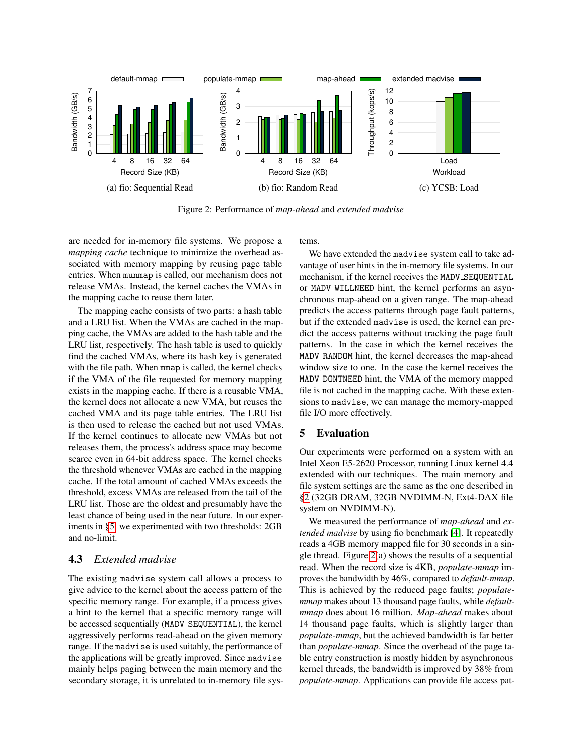<span id="page-3-1"></span>

Figure 2: Performance of *map-ahead* and *extended madvise*

are needed for in-memory file systems. We propose a *mapping cache* technique to minimize the overhead associated with memory mapping by reusing page table entries. When munmap is called, our mechanism does not release VMAs. Instead, the kernel caches the VMAs in the mapping cache to reuse them later.

The mapping cache consists of two parts: a hash table and a LRU list. When the VMAs are cached in the mapping cache, the VMAs are added to the hash table and the LRU list, respectively. The hash table is used to quickly find the cached VMAs, where its hash key is generated with the file path. When meap is called, the kernel checks if the VMA of the file requested for memory mapping exists in the mapping cache. If there is a reusable VMA, the kernel does not allocate a new VMA, but reuses the cached VMA and its page table entries. The LRU list is then used to release the cached but not used VMAs. If the kernel continues to allocate new VMAs but not releases them, the process's address space may become scarce even in 64-bit address space. The kernel checks the threshold whenever VMAs are cached in the mapping cache. If the total amount of cached VMAs exceeds the threshold, excess VMAs are released from the tail of the LRU list. Those are the oldest and presumably have the least chance of being used in the near future. In our experiments in [§5,](#page-3-0) we experimented with two thresholds: 2GB and no-limit.

### 4.3 *Extended madvise*

The existing madvise system call allows a process to give advice to the kernel about the access pattern of the specific memory range. For example, if a process gives a hint to the kernel that a specific memory range will be accessed sequentially (MADV SEQUENTIAL), the kernel aggressively performs read-ahead on the given memory range. If the madvise is used suitably, the performance of the applications will be greatly improved. Since madvise mainly helps paging between the main memory and the secondary storage, it is unrelated to in-memory file systems.

We have extended the madvise system call to take advantage of user hints in the in-memory file systems. In our mechanism, if the kernel receives the MADV\_SEQUENTIAL or MADV WILLNEED hint, the kernel performs an asynchronous map-ahead on a given range. The map-ahead predicts the access patterns through page fault patterns, but if the extended madvise is used, the kernel can predict the access patterns without tracking the page fault patterns. In the case in which the kernel receives the MADV RANDOM hint, the kernel decreases the map-ahead window size to one. In the case the kernel receives the MADV DONTNEED hint, the VMA of the memory mapped file is not cached in the mapping cache. With these extensions to madvise, we can manage the memory-mapped file I/O more effectively.

### <span id="page-3-0"></span>5 Evaluation

Our experiments were performed on a system with an Intel Xeon E5-2620 Processor, running Linux kernel 4.4 extended with our techniques. The main memory and file system settings are the same as the one described in [§2](#page-1-0) (32GB DRAM, 32GB NVDIMM-N, Ext4-DAX file system on NVDIMM-N).

We measured the performance of *map-ahead* and *extended madvise* by using fio benchmark [\[4\]](#page-5-26). It repeatedly reads a 4GB memory mapped file for 30 seconds in a single thread. Figure [2\(](#page-3-1)a) shows the results of a sequential read. When the record size is 4KB, *populate-mmap* improves the bandwidth by 46%, compared to *default-mmap*. This is achieved by the reduced page faults; *populatemmap* makes about 13 thousand page faults, while *defaultmmap* does about 16 million. *Map-ahead* makes about 14 thousand page faults, which is slightly larger than *populate-mmap*, but the achieved bandwidth is far better than *populate-mmap*. Since the overhead of the page table entry construction is mostly hidden by asynchronous kernel threads, the bandwidth is improved by 38% from *populate-mmap*. Applications can provide file access pat-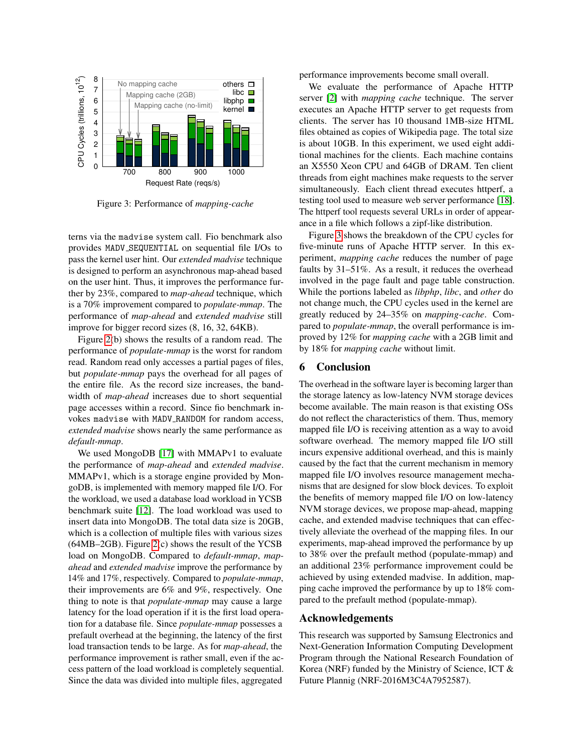<span id="page-4-0"></span>

Figure 3: Performance of *mapping-cache*

terns via the madvise system call. Fio benchmark also provides MADV SEQUENTIAL on sequential file I/Os to pass the kernel user hint. Our *extended madvise* technique is designed to perform an asynchronous map-ahead based on the user hint. Thus, it improves the performance further by 23%, compared to *map-ahead* technique, which is a 70% improvement compared to *populate-mmap*. The performance of *map-ahead* and *extended madvise* still improve for bigger record sizes (8, 16, 32, 64KB).

Figure [2\(](#page-3-1)b) shows the results of a random read. The performance of *populate-mmap* is the worst for random read. Random read only accesses a partial pages of files, but *populate-mmap* pays the overhead for all pages of the entire file. As the record size increases, the bandwidth of *map-ahead* increases due to short sequential page accesses within a record. Since fio benchmark invokes madvise with MADV RANDOM for random access, *extended madvise* shows nearly the same performance as *default-mmap*.

We used MongoDB [\[17\]](#page-5-27) with MMAPv1 to evaluate the performance of *map-ahead* and *extended madvise*. MMAPv1, which is a storage engine provided by MongoDB, is implemented with memory mapped file I/O. For the workload, we used a database load workload in YCSB benchmark suite [\[12\]](#page-5-28). The load workload was used to insert data into MongoDB. The total data size is 20GB, which is a collection of multiple files with various sizes  $(64MB–2GB)$ . Figure  $2(c)$  shows the result of the YCSB load on MongoDB. Compared to *default-mmap*, *mapahead* and *extended madvise* improve the performance by 14% and 17%, respectively. Compared to *populate-mmap*, their improvements are 6% and 9%, respectively. One thing to note is that *populate-mmap* may cause a large latency for the load operation if it is the first load operation for a database file. Since *populate-mmap* possesses a prefault overhead at the beginning, the latency of the first load transaction tends to be large. As for *map-ahead*, the performance improvement is rather small, even if the access pattern of the load workload is completely sequential. Since the data was divided into multiple files, aggregated

performance improvements become small overall.

We evaluate the performance of Apache HTTP server [\[2\]](#page-5-29) with *mapping cache* technique. The server executes an Apache HTTP server to get requests from clients. The server has 10 thousand 1MB-size HTML files obtained as copies of Wikipedia page. The total size is about 10GB. In this experiment, we used eight additional machines for the clients. Each machine contains an X5550 Xeon CPU and 64GB of DRAM. Ten client threads from eight machines make requests to the server simultaneously. Each client thread executes httperf, a testing tool used to measure web server performance [\[18\]](#page-5-30). The httperf tool requests several URLs in order of appearance in a file which follows a zipf-like distribution.

Figure [3](#page-4-0) shows the breakdown of the CPU cycles for five-minute runs of Apache HTTP server. In this experiment, *mapping cache* reduces the number of page faults by 31–51%. As a result, it reduces the overhead involved in the page fault and page table construction. While the portions labeled as *libphp*, *libc*, and *other* do not change much, the CPU cycles used in the kernel are greatly reduced by 24–35% on *mapping-cache*. Compared to *populate-mmap*, the overall performance is improved by 12% for *mapping cache* with a 2GB limit and by 18% for *mapping cache* without limit.

### 6 Conclusion

The overhead in the software layer is becoming larger than the storage latency as low-latency NVM storage devices become available. The main reason is that existing OSs do not reflect the characteristics of them. Thus, memory mapped file I/O is receiving attention as a way to avoid software overhead. The memory mapped file I/O still incurs expensive additional overhead, and this is mainly caused by the fact that the current mechanism in memory mapped file I/O involves resource management mechanisms that are designed for slow block devices. To exploit the benefits of memory mapped file I/O on low-latency NVM storage devices, we propose map-ahead, mapping cache, and extended madvise techniques that can effectively alleviate the overhead of the mapping files. In our experiments, map-ahead improved the performance by up to 38% over the prefault method (populate-mmap) and an additional 23% performance improvement could be achieved by using extended madvise. In addition, mapping cache improved the performance by up to 18% compared to the prefault method (populate-mmap).

#### Acknowledgements

This research was supported by Samsung Electronics and Next-Generation Information Computing Development Program through the National Research Foundation of Korea (NRF) funded by the Ministry of Science, ICT & Future Plannig (NRF-2016M3C4A7952587).